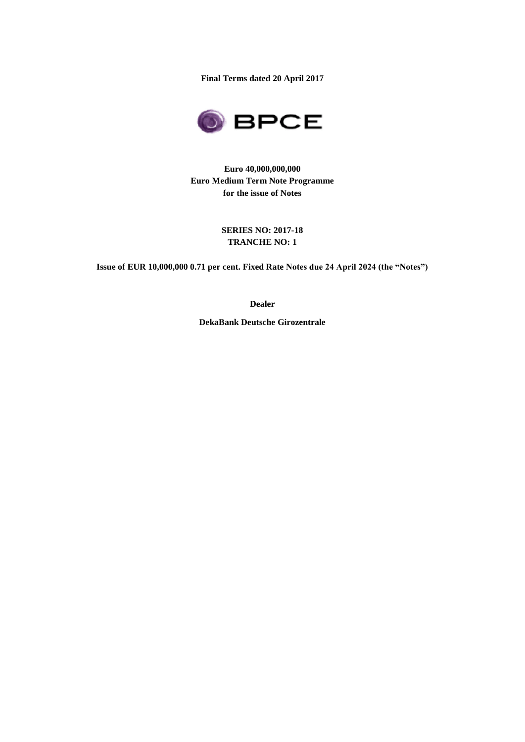**Final Terms dated 20 April 2017**



**Euro 40,000,000,000 Euro Medium Term Note Programme for the issue of Notes**

## **SERIES NO: 2017-18 TRANCHE NO: 1**

**Issue of EUR 10,000,000 0.71 per cent. Fixed Rate Notes due 24 April 2024 (the "Notes")**

**Dealer**

**DekaBank Deutsche Girozentrale**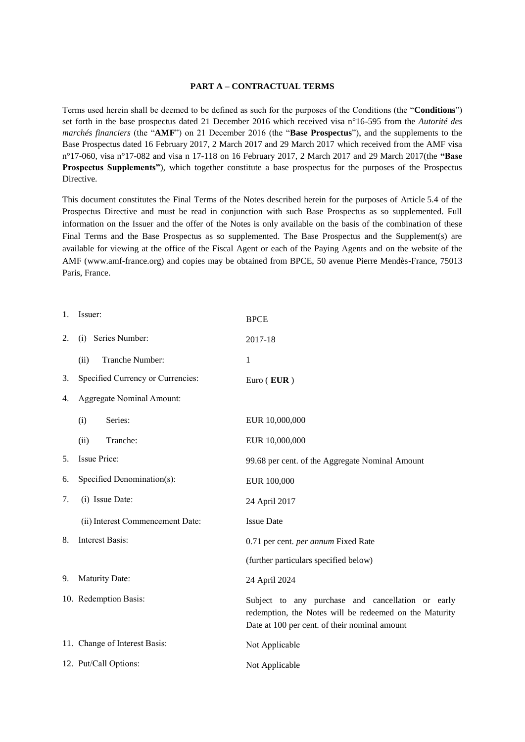#### **PART A – CONTRACTUAL TERMS**

Terms used herein shall be deemed to be defined as such for the purposes of the Conditions (the "**Conditions**") set forth in the base prospectus dated 21 December 2016 which received visa n°16-595 from the *Autorité des marchés financiers* (the "**AMF**") on 21 December 2016 (the "**Base Prospectus**"), and the supplements to the Base Prospectus dated 16 February 2017, 2 March 2017 and 29 March 2017 which received from the AMF visa n°17-060, visa n°17-082 and visa n 17-118 on 16 February 2017, 2 March 2017 and 29 March 2017(the **"Base Prospectus Supplements"**), which together constitute a base prospectus for the purposes of the Prospectus Directive.

This document constitutes the Final Terms of the Notes described herein for the purposes of Article 5.4 of the Prospectus Directive and must be read in conjunction with such Base Prospectus as so supplemented. Full information on the Issuer and the offer of the Notes is only available on the basis of the combination of these Final Terms and the Base Prospectus as so supplemented. The Base Prospectus and the Supplement(s) are available for viewing at the office of the Fiscal Agent or each of the Paying Agents and on the website of the AMF (www.amf-france.org) and copies may be obtained from BPCE, 50 avenue Pierre Mendès-France, 75013 Paris, France.

| 1. | Issuer:                           | <b>BPCE</b>                                                                                                                                                  |
|----|-----------------------------------|--------------------------------------------------------------------------------------------------------------------------------------------------------------|
| 2. | (i) Series Number:                | 2017-18                                                                                                                                                      |
|    | Tranche Number:<br>(ii)           | 1                                                                                                                                                            |
| 3. | Specified Currency or Currencies: | Euro (EUR)                                                                                                                                                   |
| 4. | <b>Aggregate Nominal Amount:</b>  |                                                                                                                                                              |
|    | Series:<br>(i)                    | EUR 10,000,000                                                                                                                                               |
|    | Tranche:<br>(ii)                  | EUR 10,000,000                                                                                                                                               |
| 5. | Issue Price:                      | 99.68 per cent. of the Aggregate Nominal Amount                                                                                                              |
| 6. | Specified Denomination(s):        | EUR 100,000                                                                                                                                                  |
| 7. | (i) Issue Date:                   | 24 April 2017                                                                                                                                                |
|    | (ii) Interest Commencement Date:  | <b>Issue Date</b>                                                                                                                                            |
| 8. | Interest Basis:                   | 0.71 per cent. per annum Fixed Rate                                                                                                                          |
|    |                                   | (further particulars specified below)                                                                                                                        |
| 9. | Maturity Date:                    | 24 April 2024                                                                                                                                                |
|    | 10. Redemption Basis:             | Subject to any purchase and cancellation or early<br>redemption, the Notes will be redeemed on the Maturity<br>Date at 100 per cent. of their nominal amount |
|    | 11. Change of Interest Basis:     | Not Applicable                                                                                                                                               |
|    | 12. Put/Call Options:             | Not Applicable                                                                                                                                               |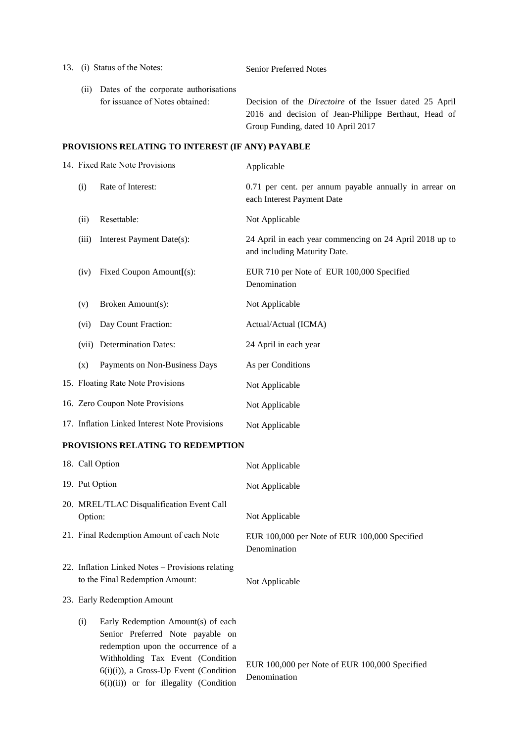| 13.                                              |                                 | (i) Status of the Notes:                                                      | <b>Senior Preferred Notes</b>                                                                                                                                |
|--------------------------------------------------|---------------------------------|-------------------------------------------------------------------------------|--------------------------------------------------------------------------------------------------------------------------------------------------------------|
|                                                  |                                 | (ii) Dates of the corporate authorisations<br>for issuance of Notes obtained: | Decision of the <i>Directoire</i> of the Issuer dated 25 April<br>2016 and decision of Jean-Philippe Berthaut, Head of<br>Group Funding, dated 10 April 2017 |
| PROVISIONS RELATING TO INTEREST (IF ANY) PAYABLE |                                 |                                                                               |                                                                                                                                                              |
|                                                  |                                 | 14. Fixed Rate Note Provisions                                                | Applicable                                                                                                                                                   |
|                                                  | (i)                             | Rate of Interest:                                                             | 0.71 per cent. per annum payable annually in arrear on<br>each Interest Payment Date                                                                         |
|                                                  | (ii)                            | Resettable:                                                                   | Not Applicable                                                                                                                                               |
|                                                  | (iii)                           | Interest Payment Date(s):                                                     | 24 April in each year commencing on 24 April 2018 up to<br>and including Maturity Date.                                                                      |
|                                                  | (iv)                            | Fixed Coupon Amount[(s):                                                      | EUR 710 per Note of EUR 100,000 Specified<br>Denomination                                                                                                    |
|                                                  | (v)                             | Broken Amount(s):                                                             | Not Applicable                                                                                                                                               |
|                                                  | (vi)                            | Day Count Fraction:                                                           | Actual/Actual (ICMA)                                                                                                                                         |
|                                                  | (vii)                           | <b>Determination Dates:</b>                                                   | 24 April in each year                                                                                                                                        |
|                                                  | (x)                             | Payments on Non-Business Days                                                 | As per Conditions                                                                                                                                            |
|                                                  |                                 | 15. Floating Rate Note Provisions                                             | Not Applicable                                                                                                                                               |
|                                                  | 16. Zero Coupon Note Provisions |                                                                               | Not Applicable                                                                                                                                               |
|                                                  |                                 | 17. Inflation Linked Interest Note Provisions                                 | Not Applicable                                                                                                                                               |

# **PROVISIONS RELATING TO REDEMPTION**

| 18. Call Option                                                                                                                                                                                                                                | Not Applicable                                                |
|------------------------------------------------------------------------------------------------------------------------------------------------------------------------------------------------------------------------------------------------|---------------------------------------------------------------|
| 19. Put Option                                                                                                                                                                                                                                 | Not Applicable                                                |
| 20. MREL/TLAC Disqualification Event Call<br>Option:                                                                                                                                                                                           | Not Applicable                                                |
| 21. Final Redemption Amount of each Note                                                                                                                                                                                                       | EUR 100,000 per Note of EUR 100,000 Specified<br>Denomination |
| 22. Inflation Linked Notes - Provisions relating<br>to the Final Redemption Amount:                                                                                                                                                            | Not Applicable                                                |
| 23. Early Redemption Amount                                                                                                                                                                                                                    |                                                               |
| Early Redemption Amount(s) of each<br>(i)<br>Senior Preferred Note payable on<br>redemption upon the occurrence of a<br>Withholding Tax Event (Condition<br>$6(i)(i)$ , a Gross-Up Event (Condition<br>$6(i)(ii)$ or for illegality (Condition | EUR 100,000 per Note of EUR 100,000 Specified<br>Denomination |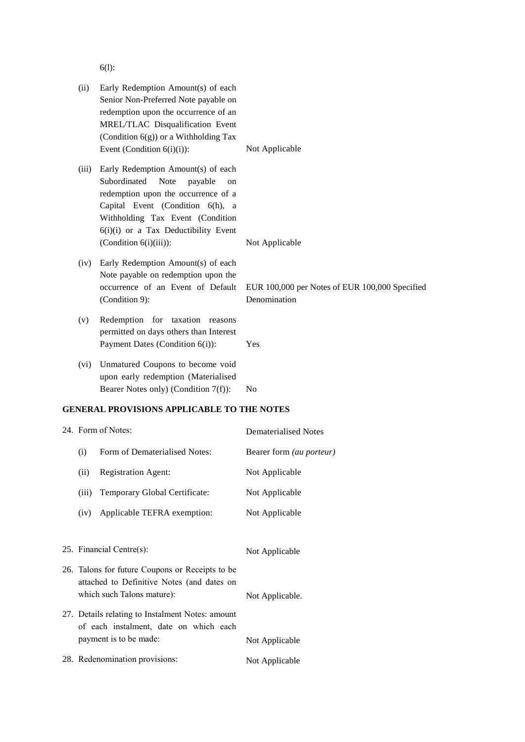6(l):

| (ii)  | Early Redemption Amount(s) of each<br>Senior Non-Preferred Note payable on<br>redemption upon the occurrence of an<br>MREL/TLAC Disqualification Event<br>(Condition $6(g)$ ) or a Withholding Tax<br>Event (Condition $6(i)(i)$ ):                             | Not Applicable                                                 |
|-------|-----------------------------------------------------------------------------------------------------------------------------------------------------------------------------------------------------------------------------------------------------------------|----------------------------------------------------------------|
| (iii) | Early Redemption Amount(s) of each<br>Subordinated<br>Note<br>payable<br>on<br>redemption upon the occurrence of a<br>Capital Event (Condition 6(h), a<br>Withholding Tax Event (Condition<br>6(i)(i) or a Tax Deductibility Event<br>(Condition $6(i)(iii)$ ): | Not Applicable                                                 |
| (iv)  | Early Redemption Amount(s) of each<br>Note payable on redemption upon the<br>occurrence of an Event of Default<br>(Condition 9):                                                                                                                                | EUR 100,000 per Notes of EUR 100,000 Specified<br>Denomination |
| (v)   | Redemption for taxation reasons<br>permitted on days others than Interest<br>Payment Dates (Condition 6(i)):                                                                                                                                                    | Yes                                                            |
| (vi)  | Unmatured Coupons to become void<br>upon early redemption (Materialised<br>Bearer Notes only) (Condition 7(f)):                                                                                                                                                 | No                                                             |
|       | <b>GENERAL PROVISIONS APPLICABLE TO THE NOTES</b>                                                                                                                                                                                                               |                                                                |
|       | 24. Form of Notes:                                                                                                                                                                                                                                              | <b>Dematerialised Notes</b>                                    |
| (i)   | Form of Dematerialised Notes:                                                                                                                                                                                                                                   | Bearer form (au porteur)                                       |
| (ii)  | <b>Registration Agent:</b>                                                                                                                                                                                                                                      | Not Applicable                                                 |
| (iii) | Temporary Global Certificate:                                                                                                                                                                                                                                   | Not Applicable                                                 |
| (iv)  | Applicable TEFRA exemption:                                                                                                                                                                                                                                     | Not Applicable                                                 |
|       | 25. Financial Centre(s):                                                                                                                                                                                                                                        | Not Applicable                                                 |
|       | 26. Talons for future Coupons or Receipts to be<br>attached to Definitive Notes (and dates on<br>which such Talons mature):                                                                                                                                     | Not Applicable.                                                |
|       | 27. Details relating to Instalment Notes: amount<br>of each instalment, date on which each<br>payment is to be made:                                                                                                                                            | Not Applicable                                                 |

28. Redenomination provisions: Not Applicable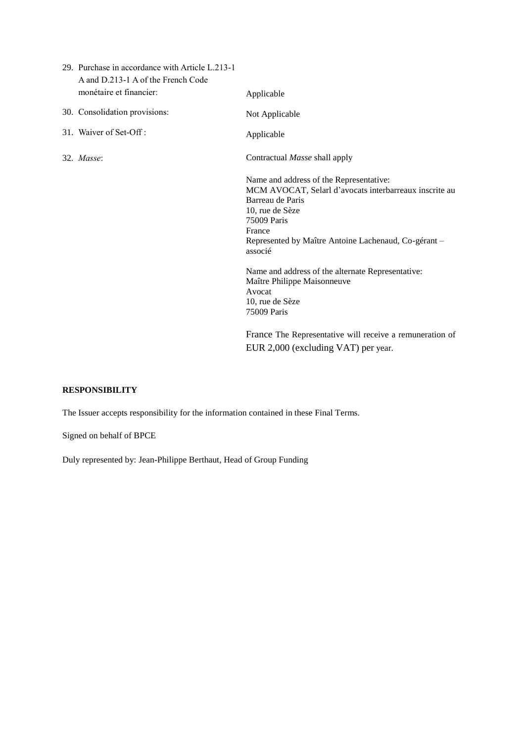| 29. Purchase in accordance with Article L.213-1<br>A and D.213-1 A of the French Code<br>monétaire et financier: | Applicable                                                                                                                                                                                                                                                                                                                                            |
|------------------------------------------------------------------------------------------------------------------|-------------------------------------------------------------------------------------------------------------------------------------------------------------------------------------------------------------------------------------------------------------------------------------------------------------------------------------------------------|
| 30. Consolidation provisions:                                                                                    | Not Applicable                                                                                                                                                                                                                                                                                                                                        |
| 31. Waiver of Set-Off:                                                                                           | Applicable                                                                                                                                                                                                                                                                                                                                            |
| 32. Masse:                                                                                                       | Contractual Masse shall apply                                                                                                                                                                                                                                                                                                                         |
|                                                                                                                  | Name and address of the Representative:<br>MCM AVOCAT, Selarl d'avocats interbarreaux inscrite au<br>Barreau de Paris<br>10, rue de Sèze<br>75009 Paris<br>France<br>Represented by Maître Antoine Lachenaud, Co-gérant -<br>associé<br>Name and address of the alternate Representative:<br>Maître Philippe Maisonneuve<br>Avocat<br>10, rue de Sèze |
|                                                                                                                  | 75009 Paris<br>France The Representative will receive a remuneration of                                                                                                                                                                                                                                                                               |
|                                                                                                                  | EUR 2,000 (excluding VAT) per year.                                                                                                                                                                                                                                                                                                                   |

# **RESPONSIBILITY**

The Issuer accepts responsibility for the information contained in these Final Terms.

Signed on behalf of BPCE

Duly represented by: Jean-Philippe Berthaut, Head of Group Funding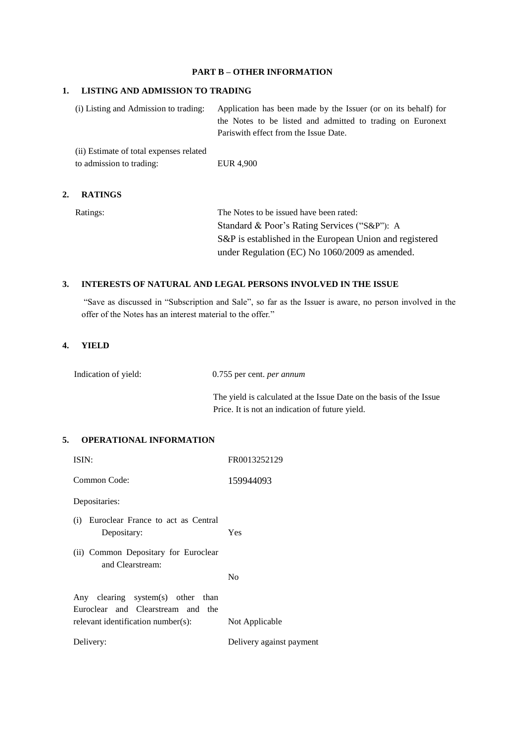#### **PART B – OTHER INFORMATION**

#### **1. LISTING AND ADMISSION TO TRADING**

| (i) Listing and Admission to trading:   | Application has been made by the Issuer (or on its behalf) for |
|-----------------------------------------|----------------------------------------------------------------|
|                                         | the Notes to be listed and admitted to trading on Euronext     |
|                                         | Pariswith effect from the Issue Date.                          |
| (ii) Estimate of total expenses related |                                                                |

| to admission to trading: | EUR 4,900 |
|--------------------------|-----------|

### **2. RATINGS**

Ratings: The Notes to be issued have been rated: Standard & Poor's Rating Services ("S&P"): A S&P is established in the European Union and registered under Regulation (EC) No 1060/2009 as amended.

### **3. INTERESTS OF NATURAL AND LEGAL PERSONS INVOLVED IN THE ISSUE**

"Save as discussed in "Subscription and Sale", so far as the Issuer is aware, no person involved in the offer of the Notes has an interest material to the offer."

### **4. YIELD**

Indication of yield: 0.755 per cent. *per annum*

The yield is calculated at the Issue Date on the basis of the Issue Price. It is not an indication of future yield.

### **5. OPERATIONAL INFORMATION**

| ISIN:                                                                  | FR0013252129             |
|------------------------------------------------------------------------|--------------------------|
| Common Code:                                                           | 159944093                |
| Depositaries:                                                          |                          |
| (i) Euroclear France to act as Central<br>Depositary:                  | Yes                      |
| (ii) Common Depositary for Euroclear<br>and Clearstream:               |                          |
|                                                                        | No                       |
| Any clearing system(s) other than<br>Euroclear and Clearstream and the |                          |
| relevant identification number(s):                                     | Not Applicable           |
| Delivery:                                                              | Delivery against payment |